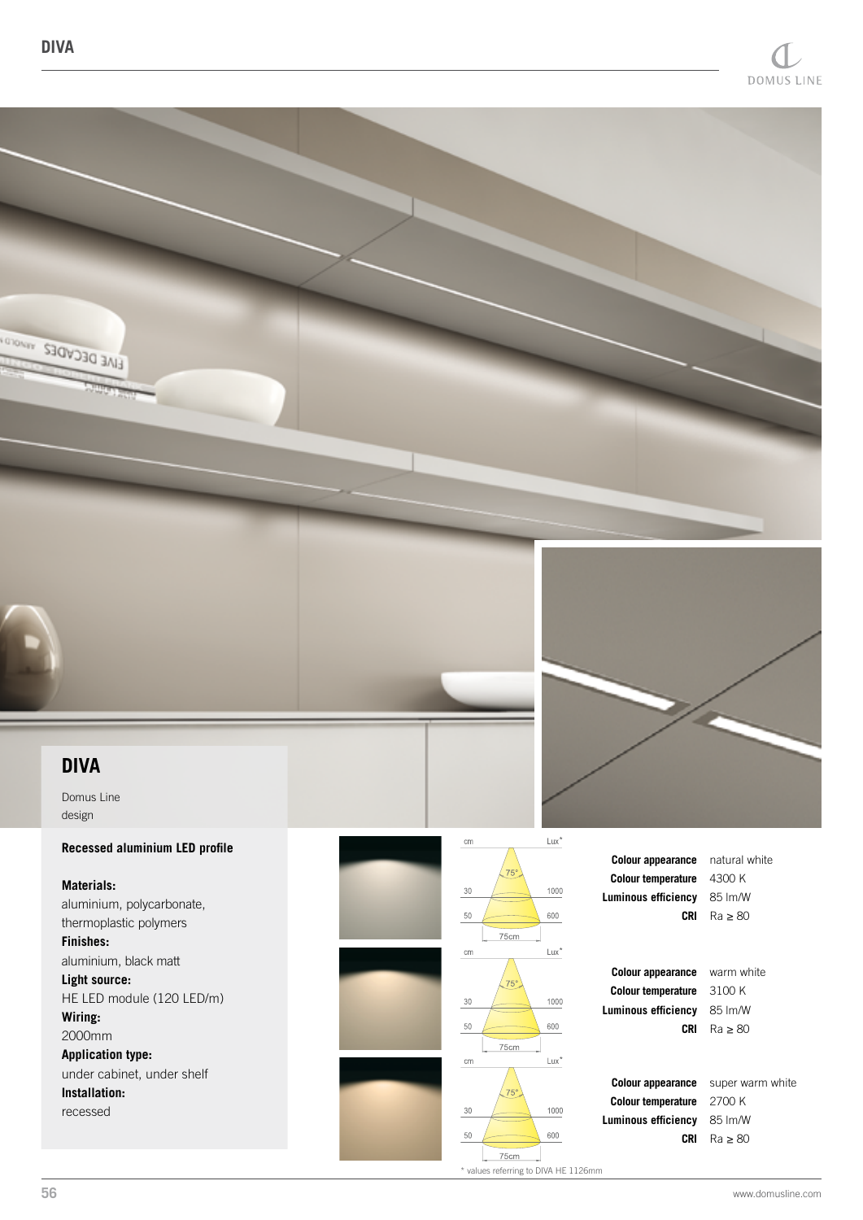



Domus Line design

## **Recessed aluminium LED profile**

**Materials:** aluminium, polycarbonate, thermoplastic polymers **Finishes:** aluminium, black matt **Light source:** HE LED module (120 LED/m) **Wiring:** 2000mm **Application type:** under cabinet, under shelf **Installation:** recessed



\* values referring to DIVA HE 1126mm